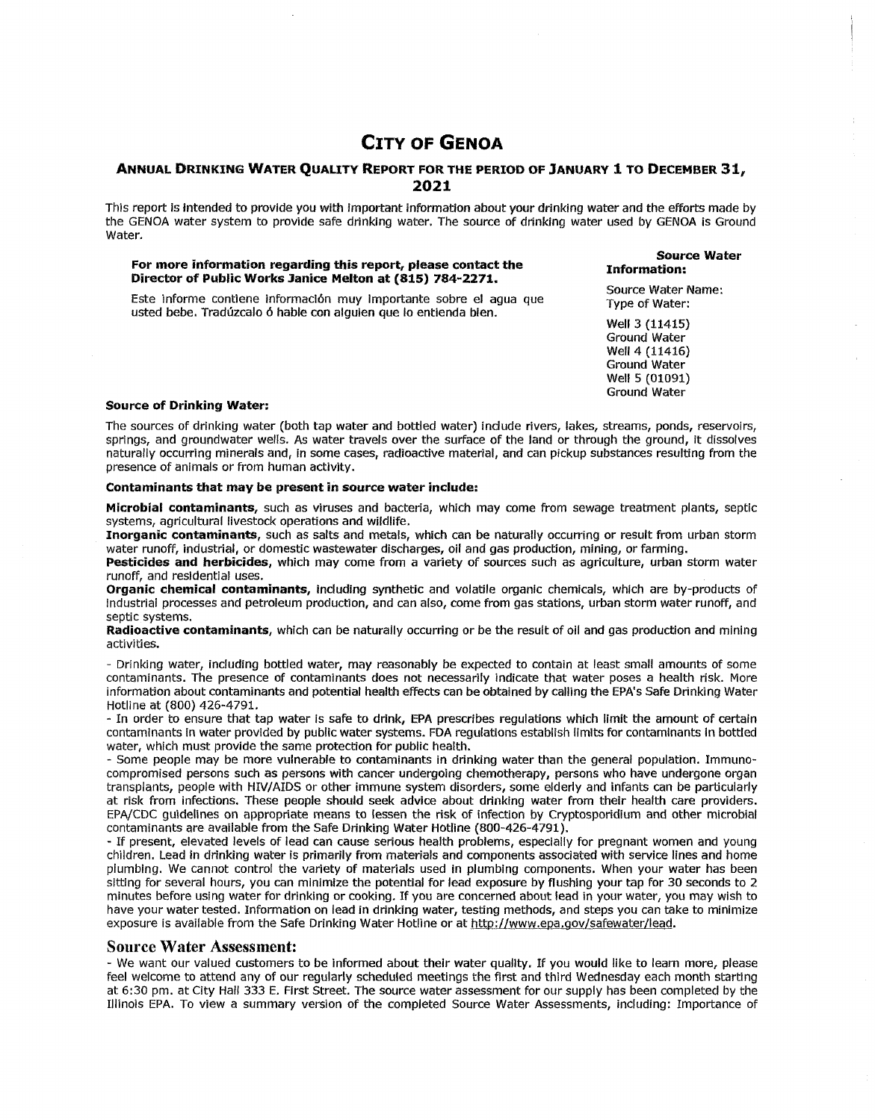# **CITY OF GENOA**

# **ANNUAL DRINKING WATER QUALITY REPORT FOR THE PERIOD OF JANUARY 1 TO DECEMBER 31, 2021**

This report is intended to provide you with important information about your drinking water and the efforts made by the GENOA water system to provide safe drinking water. The source of drinking water used by GENOA is Ground Water.

#### **For more information regarding this report, please contact the Director of Public Works Janice Melton at (815) 784-2271.**

#### **Source Water Information:**

Este informe contiene lnformaci6n muy importante sobre el agua que usted bebe. Traduzcalo 6 hable con alguien que lo entienda bien.

Source Water Name: Type of Water:

Well 3 (11415) Ground Water Well 4 (11416) Ground Water Well 5 (01091) Ground Water

#### **Source of Drinking Water:**

The sources of drinking water (both tap water and bottled water) indude rivers, lakes, streams, ponds, reservoirs, springs, and groundwater wells. As water travels over the surface of the land or through the ground, it dissolves naturally occurring minerals and, in some cases, radioactive material, and can pickup substances resulting from the presence of animals or from human activity.

### **Contaminants that may be present in source water include:**

**Microbial contaminants,** such as viruses and bacteria, which may come from sewage treatment plants, septic systems, agricultural livestock operations and wildlife.

**Inorganic contaminants,** such as salts and metals, which can be naturally occurring or result from urban storm water runoff, industrial, or domestic wastewater discharges, oil and gas production, mining, or farming.

**Pesticides and herbicides,** which may come from a variety of sources such as agriculture, urban storm water runoff, and residential uses.

**Organic chemical contaminants,** including synthetic and volatile organic chemicals, which are by-products of Industrial processes and petroleum production, and can also, come from gas stations, urban storm water runoff, and septic systems.

**Radioactive contaminants,** which can be naturally occurring or be the result of oil and gas production and mining activities.

- Drinking water, including bottled water, may reasonably be expected to contain at least small amounts of some contaminants. The presence of contaminants does not necessarily indicate that water poses a health risk. More information about contaminants and potential health effects can be obtained by calling the EPA's Safe Drinking Water Hotline at (800) 426-4791.

- In order to ensure that tap water Is safe to drink, EPA prescribes regulations which limit the amount of certain contaminants in water provided by public water systems. FDA regulations establish limits for contaminants in bottled water, which must provide the same protection for public health.

- Some people may be more vulnerable to contaminants in drinking water than the general population. Immunocompromised persons such as persons with cancer undergoing chemotherapy, persons who have undergone organ transplants, people with HIV/AIDS or other immune system disorders, some elderly and infants can be particularly at risk from infections. These people should seek advice about drinking water from their health care providers. EPA/CDC guidelines on appropriate means to lessen the risk of infection by Cryptosporidium and other microbial contaminants are available from the Safe Drinking Water Hotline (800-426-4791).

- If present, elevated levels of lead can cause serious health problems, especially for pregnant women and young children. Lead in drinking water is primarily from materials and components associated with service lines and home plumbing. We cannot control the variety of materials used in plumbing components. When your water has been sitting for several hours, you can minimize the potential for lead exposure by flushing your tap for 30 seconds to 2 minutes before using water for drinking or cooking. If you are concerned about lead in your water, you may wish to have your water tested. Information on lead in drinking water, testing methods, and steps you can take to minimize exposure is available from the Safe Drinking Water Hotline or at http://www.epa.gov/safewater/lead.

## **Source Water Assessment:**

- We want our valued customers to be informed about their water quallty. If you would like to learn more, please feel welcome to attend any of our regularly scheduled meetings the first and third Wednesday each month starting at 6:30 pm. at City Hali 333 E. First Street. The source water assessment for our supply has been completed by the Illinois EPA. To view a summary version of the completed Source Water Assessments, including: Importance of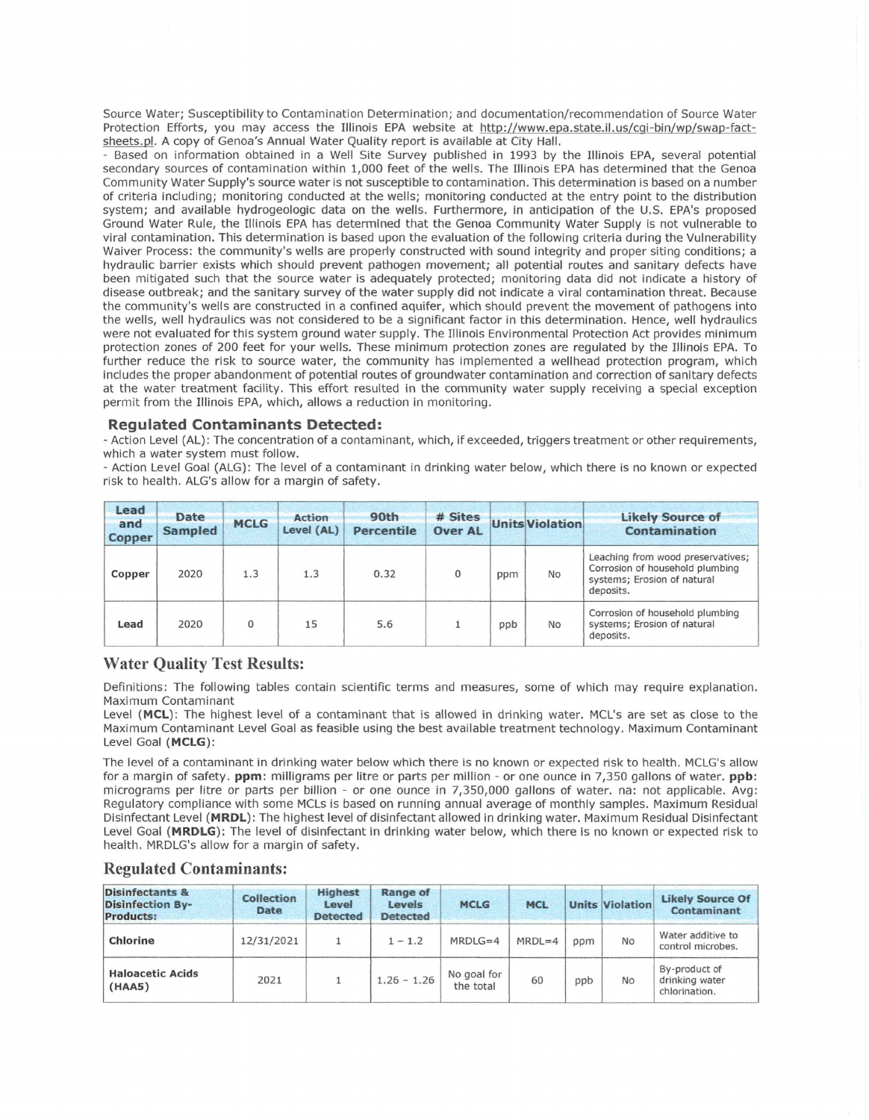Source Water; Susceptibility to Contamination Determination; and documentation/recommendation of Source Water Protection Efforts, you may access the Illinois EPA website at http://www.epa.state.il.us/cqi-bin/wo/swap-factsheets.pl. A copy of Genoa's Annual Water Quality report is available at City Hall.

Based on information obtained in a Well Site Survey published in 1993 by the Illinois EPA, several potential secondary sources of contamination within 1,000 feet of the wells. The Illinois EPA has determined that the Genoa Community Water Supply's source water is not susceptible to contamination. This determination is based on a number of criteria including; monitoring conducted at the wells; monitoring conducted at the entry point to the distribution system; and available hydrogeologic data on the wells. Furthermore, in anticipation of the U.S. EPA's proposed Ground Water Rule, the Illinois EPA has determined that the Genoa Community Water Supply is not vulnerable to viral contamination. This determination is based upon the evaluation of the following criteria during the Vulnerability Waiver Process: the community's wells are properly constructed with sound integrity and proper siting conditions; a hydraulic barrier exists which should prevent pathogen movement; all potential routes and sanitary defects have been mitigated such that the source water is adequately protected; monitoring data did not indicate a history of disease outbreak; and the sanitary survey of the water supply did not indicate a viral contamination threat. Because the community's wells are constructed in a confined aquifer, which should prevent the movement of pathogens into the wells, well hydraulics was not considered to be a significant factor in this determination. Hence, well hydraulics were not evaluated for this system ground water supply. The Illinois Environmental Protection Act provides minimum protection zones of 200 feet for your wells. These minimum protection zones are regulated by the Illinois EPA. To further reduce the risk to source water, the community has implemented a wellhead protection program, which includes the proper abandonment of potential routes of groundwater contamination and correction of sanitary defects at the water treatment facility. This effort resulted in the community water supply receiving a special exception permit from the Illinois EPA, which, allows a reduction in monitoring.

## **Regulated Contaminants Detected:**

- Action Level (AL): The concentration of a contaminant, which, if exceeded, triggers treatment or other requirements, which a water system must follow.

- Action Level Goal (ALG): The level of a contaminant in drinking water below, which there is no known or expected risk to health. ALG's allow for a margin of safety.

| Lead<br>and<br><b>Copper</b> | <b>Date</b><br><b>Sampled</b> | <b>MCLG</b> | <b>Action</b><br>Level (AL) | 90th<br>Percentile | # Sites<br><b>Over AL</b> |     | <b>Units Violation</b> | <b>Likely Source of</b><br>Contamination                                                                         |  |
|------------------------------|-------------------------------|-------------|-----------------------------|--------------------|---------------------------|-----|------------------------|------------------------------------------------------------------------------------------------------------------|--|
| Copper                       | 2020                          | 1.3         | 1.3                         | 0.32               | $\mathbf{0}$              | ppm | No                     | Leaching from wood preservatives;<br>Corrosion of household plumbing<br>systems; Erosion of natural<br>deposits. |  |
| Lead                         | 2020                          | 0           | 15                          | 5.6                |                           | ppb | <b>No</b>              | Corrosion of household plumbing<br>systems; Erosion of natural<br>deposits.                                      |  |

# **Water Quality Test Results:**

Definitions: The following tables contain scientific terms and measures, some of which may require explanation. Maximum Contaminant

Level **(MCL):** The highest level of a contaminant that is allowed in drinking water. MCL's are set as close to the Maximum Contaminant Level Goal as feasible using the best available treatment technology. Maximum Contaminant Level Goal **(MCLG):** 

The level of a contaminant in drinking water below which there is no known or expected risk to health. MCLG's allow for a margin of safety. **ppm:** milligrams per litre or parts per million - or one ounce in 7,350 gallons of water. **ppb :**  micrograms per litre or parts per billion - or one ounce in 7,350,000 gallons of water. na: not applicable. Avg: Regulatory compliance with some MCLs is based on running annual average of monthly samples. Maximum Residual Disinfectant Level **(MRDL):** The highest level of disinfectant allowed in drinking water. Maximum Residual Disinfectant Level Goal **(MRDLG):** The level of disinfectant in drinking water below, which there is no known or expected risk to health. MRDLG's allow for a margin of safety.

| <b>Disinfectants &amp;</b><br><b>Disinfection By-</b><br><b>Products:</b> | <b>Collection</b><br>Date | <b>Highest</b><br>Level<br><b>Detected</b> | <b>Range of</b><br>Levels<br><b>Detected</b> | <b>MCLG</b>              | <b>MCL</b> |     | <b>Units Violation</b><br>No | <b>Likely Source Of</b><br>Contaminant<br>Water additive to<br>control microbes. |
|---------------------------------------------------------------------------|---------------------------|--------------------------------------------|----------------------------------------------|--------------------------|------------|-----|------------------------------|----------------------------------------------------------------------------------|
| Chlorine                                                                  | 12/31/2021                |                                            | $1 - 1.2$                                    | $MRDLG=4$                | $MRDL=4$   | ppm |                              |                                                                                  |
| <b>Haloacetic Acids</b><br>(HAA5)                                         | 2021                      |                                            | $1.26 - 1.26$                                | No goal for<br>the total | 60         | ppb | <b>No</b>                    | By-product of<br>drinking water<br>chlorination.                                 |

## **Regulated Contaminants:**